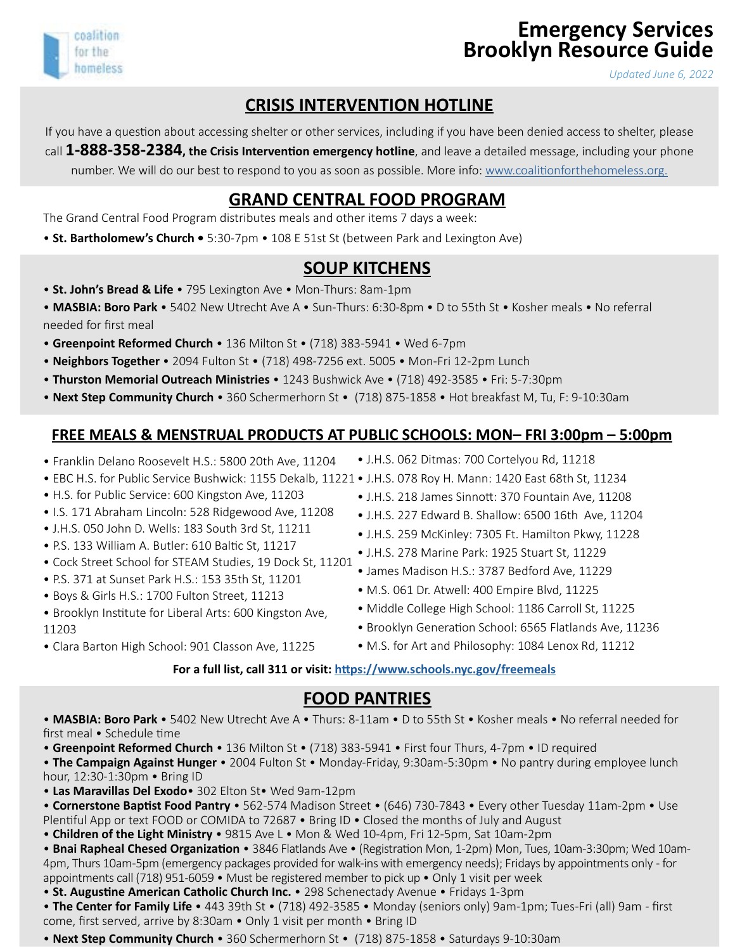# **Emergency Services Brooklyn Resource Guide**

*Updated June 6, 2022*

# **CRISIS INTERVENTION HOTLINE**

If you have a question about accessing shelter or other services, including if you have been denied access to shelter, please call **1-888-358-2384, the Crisis Intervention emergency hotline**, and leave a detailed message, including your phone number. We will do our best to respond to you as soon as possible. More info: [www.coalitionforthehomeless.org.](http://www.coalitionforthehomeless.org)

### **GRAND CENTRAL FOOD PROGRAM**

The Grand Central Food Program distributes meals and other items 7 days a week:

• **St. Bartholomew's Church •** 5:30-7pm • 108 E 51st St (between Park and Lexington Ave)

#### **SOUP KITCHENS**

- • **St. John's Bread & Life**  795 Lexington Ave Mon-Thurs: 8am-1pm
- **MASBIA: Boro Park** 5402 New Utrecht Ave A Sun-Thurs: 6:30-8pm D to 55th St Kosher meals No referral needed for first meal
- **Greenpoint Reformed Church** 136 Milton St (718) 383-5941 Wed 6-7pm
- **Neighbors Together** 2094 Fulton St (718) 498-7256 ext. 5005 Mon-Fri 12-2pm Lunch
- **Thurston Memorial Outreach Ministries** 1243 Bushwick Ave (718) 492-3585 Fri: 5-7:30pm
- **Next Step Community Church** 360 Schermerhorn St (718) 875-1858 Hot breakfast M, Tu, F: 9-10:30am

#### **FREE MEALS & MENSTRUAL PRODUCTS AT PUBLIC SCHOOLS: MON– FRI 3:00pm – 5:00pm**

- Franklin Delano Roosevelt H.S.: 5800 20th Ave, 11204
- EBC H.S. for Public Service Bushwick: 1155 Dekalb, 11221 J.H.S. 078 Roy H. Mann: 1420 East 68th St, 11234
- H.S. for Public Service: 600 Kingston Ave, 11203

coalition for the homeless

- I.S. 171 Abraham Lincoln: 528 Ridgewood Ave, 11208
- J.H.S. 050 John D. Wells: 183 South 3rd St, 11211
- P.S. 133 William A. Butler: 610 Baltic St, 11217
- Cock Street School for STEAM Studies, 19 Dock St, 11201
- P.S. 371 at Sunset Park H.S.: 153 35th St, 11201
- Boys & Girls H.S.: 1700 Fulton Street, 11213
- Brooklyn Institute for Liberal Arts: 600 Kingston Ave, 11203
- Clara Barton High School: 901 Classon Ave, 11225
- J.H.S. 062 Ditmas: 700 Cortelyou Rd, 11218
- 
- J.H.S. 218 James Sinnott: 370 Fountain Ave, 11208
- J.H.S. 227 Edward B. Shallow: 6500 16th Ave, 11204
- J.H.S. 259 McKinley: 7305 Ft. Hamilton Pkwy, 11228
- J.H.S. 278 Marine Park: 1925 Stuart St, 11229
- James Madison H.S.: 3787 Bedford Ave, 11229
- M.S. 061 Dr. Atwell: 400 Empire Blvd, 11225
- Middle College High School: 1186 Carroll St, 11225
- Brooklyn Generation School: 6565 Flatlands Ave, 11236
- M.S. for Art and Philosophy: 1084 Lenox Rd, 11212

#### **For a full list, call 311 or visit: <https://www.schools.nyc.gov/freemeals>**

#### **FOOD PANTRIES**

• **MASBIA: Boro Park** • 5402 New Utrecht Ave A • Thurs: 8-11am • D to 55th St • Kosher meals • No referral needed for first meal • Schedule time

• **Greenpoint Reformed Church** • 136 Milton St • (718) 383-5941 • First four Thurs, 4-7pm • ID required

• **The Campaign Against Hunger** • 2004 Fulton St • Monday-Friday, 9:30am-5:30pm • No pantry during employee lunch hour, 12:30-1:30pm • Bring ID

• **Las Maravillas Del Exodo**• 302 Elton St• Wed 9am-12pm

• **Cornerstone Baptist Food Pantry** • 562-574 Madison Street • (646) 730-7843 • Every other Tuesday 11am-2pm • Use Plentiful App or text FOOD or COMIDA to 72687 • Bring ID • Closed the months of July and August

• **Children of the Light Ministry** • 9815 Ave L • Mon & Wed 10-4pm, Fri 12-5pm, Sat 10am-2pm

• **Bnai Rapheal Chesed Organization** • 3846 Flatlands Ave • (Registration Mon, 1-2pm) Mon, Tues, 10am-3:30pm; Wed 10am-4pm, Thurs 10am-5pm (emergency packages provided for walk-ins with emergency needs); Fridays by appointments only - for appointments call (718) 951-6059 • Must be registered member to pick up • Only 1 visit per week

• **St. Augustine American Catholic Church Inc.** • 298 Schenectady Avenue • Fridays 1-3pm

• **The Center for Family Life** • 443 39th St • (718) 492-3585 • Monday (seniors only) 9am-1pm; Tues-Fri (all) 9am - first come, first served, arrive by 8:30am • Only 1 visit per month • Bring ID

• **Next Step Community Church** • 360 Schermerhorn St • (718) 875-1858 • Saturdays 9-10:30am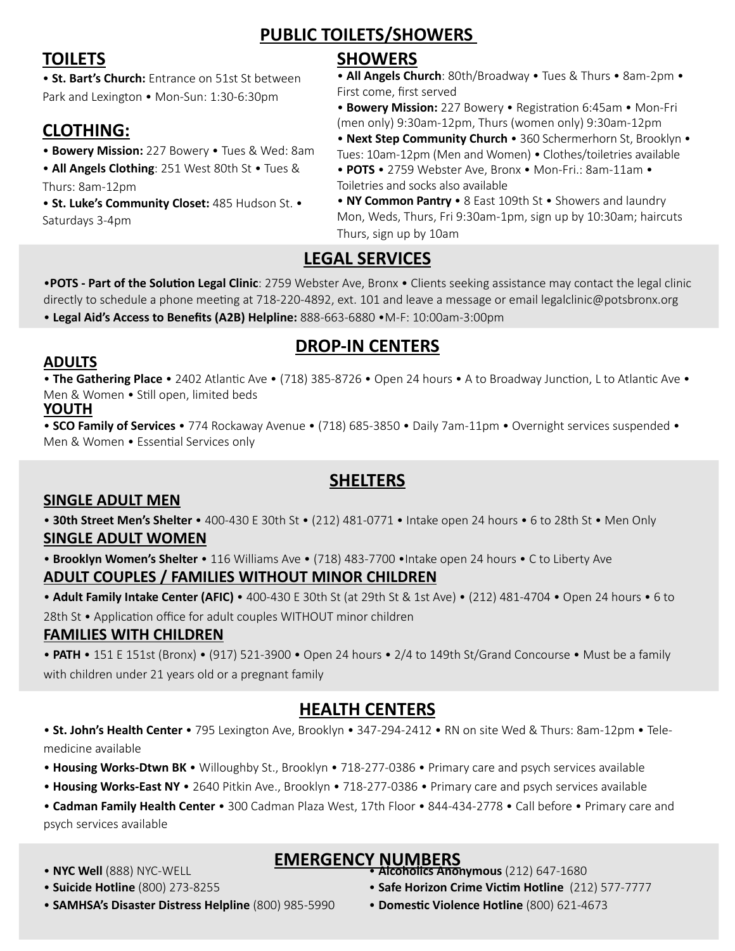# **PUBLIC TOILETS/SHOWERS**

# **TOILETS**

• **St. Bart's Church:** Entrance on 51st St between Park and Lexington • Mon-Sun: 1:30-6:30pm

# **CLOTHING:**

- **Bowery Mission:** 227 Bowery Tues & Wed: 8am
- **All Angels Clothing**: 251 West 80th St Tues & Thurs: 8am-12pm

• **St. Luke's Community Closet:** 485 Hudson St. • Saturdays 3-4pm

## **SHOWERS**

• **All Angels Church**: 80th/Broadway • Tues & Thurs • 8am-2pm • First come, first served

• **Bowery Mission:** 227 Bowery • Registration 6:45am • Mon-Fri (men only) 9:30am-12pm, Thurs (women only) 9:30am-12pm

• **Next Step Community Church** • 360 Schermerhorn St, Brooklyn • Tues: 10am-12pm (Men and Women) • Clothes/toiletries available

• **POTS** • 2759 Webster Ave, Bronx • Mon-Fri.: 8am-11am • Toiletries and socks also available

#### • **NY Common Pantry** • 8 East 109th St • Showers and laundry Mon, Weds, Thurs, Fri 9:30am-1pm, sign up by 10:30am; haircuts Thurs, sign up by 10am

# **LEGAL SERVICES**

•**POTS - Part of the Solution Legal Clinic**: 2759 Webster Ave, Bronx • Clients seeking assistance may contact the legal clinic directly to schedule a phone meeting at 718-220-4892, ext. 101 and leave a message or email legalclinic@potsbronx.org • **Legal Aid's Access to Benefits (A2B) Helpline:** 888-663-6880 •M-F: 10:00am-3:00pm

# **DROP-IN CENTERS**

### **ADULTS**

• **The Gathering Place** • 2402 Atlantic Ave • (718) 385-8726 • Open 24 hours • A to Broadway Junction, L to Atlantic Ave • Men & Women • Still open, limited beds

#### **YOUTH**

• **SCO Family of Services** • 774 Rockaway Avenue • (718) 685-3850 • Daily 7am-11pm • Overnight services suspended • Men & Women • Essential Services only

# **SHELTERS**

## **SINGLE ADULT MEN**

• **30th Street Men's Shelter** • 400-430 E 30th St • (212) 481-0771 • Intake open 24 hours • 6 to 28th St • Men Only **SINGLE ADULT WOMEN**

• **Brooklyn Women's Shelter** • 116 Williams Ave • (718) 483-7700 •Intake open 24 hours • C to Liberty Ave

#### **ADULT COUPLES / FAMILIES WITHOUT MINOR CHILDREN**

• **Adult Family Intake Center (AFIC)** • 400-430 E 30th St (at 29th St & 1st Ave) • (212) 481-4704 • Open 24 hours • 6 to 28th St • Application office for adult couples WITHOUT minor children

## **FAMILIES WITH CHILDREN**

• **PATH** • 151 E 151st (Bronx) • (917) 521-3900 • Open 24 hours • 2/4 to 149th St/Grand Concourse • Must be a family with children under 21 years old or a pregnant family

# **HEALTH CENTERS**

• **St. John's Health Center** • 795 Lexington Ave, Brooklyn • 347-294-2412 • RN on site Wed & Thurs: 8am-12pm • Telemedicine available

- **Housing Works-Dtwn BK** Willoughby St., Brooklyn 718-277-0386 Primary care and psych services available
- • **Housing Works-East NY** 2640 Pitkin Ave., Brooklyn 718-277-0386 Primary care and psych services available

• **Cadman Family Health Center** • 300 Cadman Plaza West, 17th Floor • 844-434-2778 • Call before • Primary care and psych services available

• **NYC Well** (888) NYC-WELL

#### • **Suicide Hotline** (800) 273-8255

- **SAMHSA's Disaster Distress Helpline** (800) 985-5990
- **EMERGENCY NUMBERS** • **Alcoholics Anonymous** (212) 647-1680
	- **Safe Horizon Crime Victim Hotline** (212) 577-7777
	- **Domestic Violence Hotline** (800) 621-4673